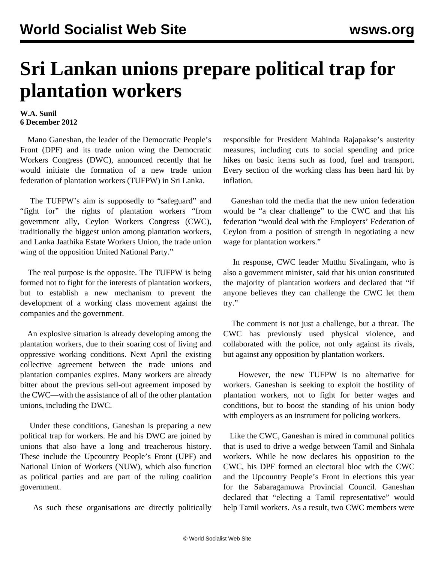## **Sri Lankan unions prepare political trap for plantation workers**

## **W.A. Sunil 6 December 2012**

 Mano Ganeshan, the leader of the Democratic People's Front (DPF) and its trade union wing the Democratic Workers Congress (DWC), announced recently that he would initiate the formation of a new trade union federation of plantation workers (TUFPW) in Sri Lanka.

 The TUFPW's aim is supposedly to "safeguard" and "fight for" the rights of plantation workers "from government ally, Ceylon Workers Congress (CWC), traditionally the biggest union among plantation workers, and Lanka Jaathika Estate Workers Union, the trade union wing of the opposition United National Party."

 The real purpose is the opposite. The TUFPW is being formed not to fight for the interests of plantation workers, but to establish a new mechanism to prevent the development of a working class movement against the companies and the government.

 An explosive situation is already developing among the plantation workers, due to their soaring cost of living and oppressive working conditions. Next April the existing collective agreement between the trade unions and plantation companies expires. Many workers are already bitter about the previous sell-out agreement imposed by the CWC—with the assistance of all of the other plantation unions, including the DWC.

 Under these conditions, Ganeshan is preparing a new political trap for workers. He and his DWC are joined by unions that also have a long and treacherous history. These include the Upcountry People's Front (UPF) and National Union of Workers (NUW), which also function as political parties and are part of the ruling coalition government.

As such these organisations are directly politically

responsible for President Mahinda Rajapakse's austerity measures, including cuts to social spending and price hikes on basic items such as food, fuel and transport. Every section of the working class has been hard hit by inflation.

 Ganeshan told the media that the new union federation would be "a clear challenge" to the CWC and that his federation "would deal with the Employers' Federation of Ceylon from a position of strength in negotiating a new wage for plantation workers."

 In response, CWC leader Mutthu Sivalingam, who is also a government minister, said that his union constituted the majority of plantation workers and declared that "if anyone believes they can challenge the CWC let them try."

 The comment is not just a challenge, but a threat. The CWC has previously used physical violence, and collaborated with the police, not only against its rivals, but against any opposition by plantation workers.

 However, the new TUFPW is no alternative for workers. Ganeshan is seeking to exploit the hostility of plantation workers, not to fight for better wages and conditions, but to boost the standing of his union body with employers as an instrument for policing workers.

 Like the CWC, Ganeshan is mired in communal politics that is used to drive a wedge between Tamil and Sinhala workers. While he now declares his opposition to the CWC, his DPF formed an electoral bloc with the CWC and the Upcountry People's Front in elections this year for the Sabaragamuwa Provincial Council. Ganeshan declared that "electing a Tamil representative" would help Tamil workers. As a result, two CWC members were